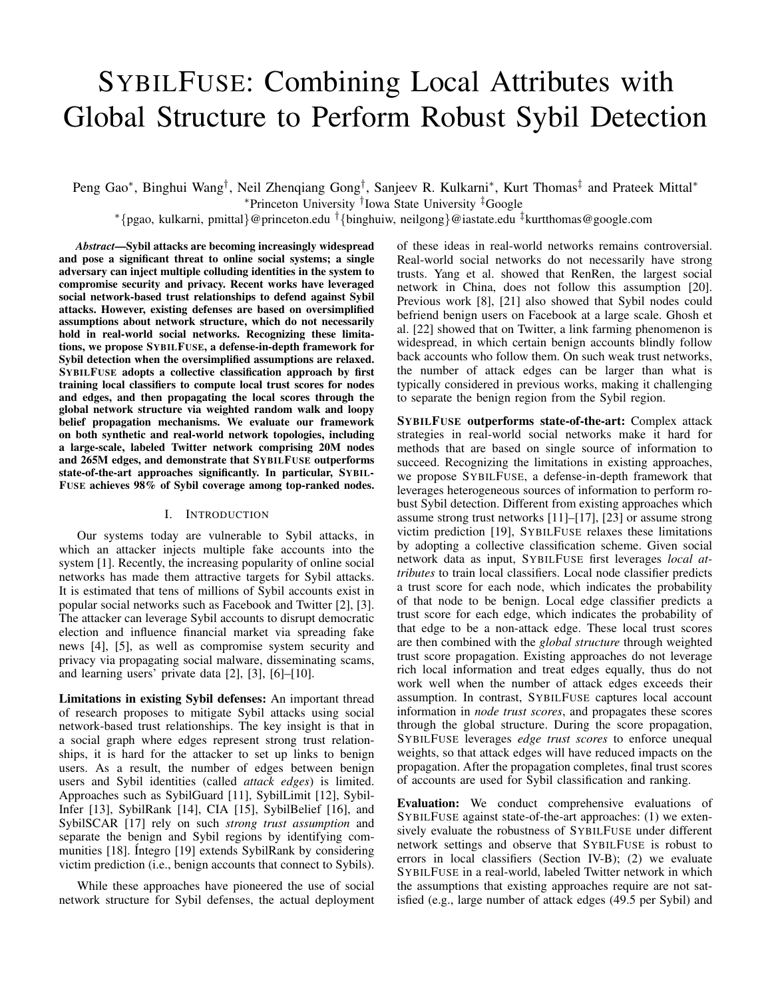# SYBILFUSE: Combining Local Attributes with Global Structure to Perform Robust Sybil Detection

Peng Gao\*, Binghui Wang<sup>†</sup>, Neil Zhenqiang Gong<sup>†</sup>, Sanjeev R. Kulkarni\*, Kurt Thomas<sup>‡</sup> and Prateek Mittal\*

<sup>∗</sup>Princeton University † Iowa State University ‡Google

<sup>∗</sup>{pgao, kulkarni, pmittal}@princeton.edu †{binghuiw, neilgong}@iastate.edu ‡kurtthomas@google.com

*Abstract*—Sybil attacks are becoming increasingly widespread and pose a significant threat to online social systems; a single adversary can inject multiple colluding identities in the system to compromise security and privacy. Recent works have leveraged social network-based trust relationships to defend against Sybil attacks. However, existing defenses are based on oversimplified assumptions about network structure, which do not necessarily hold in real-world social networks. Recognizing these limitations, we propose SYBILFUSE, a defense-in-depth framework for Sybil detection when the oversimplified assumptions are relaxed. SYBILFUSE adopts a collective classification approach by first training local classifiers to compute local trust scores for nodes and edges, and then propagating the local scores through the global network structure via weighted random walk and loopy belief propagation mechanisms. We evaluate our framework on both synthetic and real-world network topologies, including a large-scale, labeled Twitter network comprising 20M nodes and 265M edges, and demonstrate that SYBILFUSE outperforms state-of-the-art approaches significantly. In particular, SYBIL-FUSE achieves 98% of Sybil coverage among top-ranked nodes.

# I. INTRODUCTION

Our systems today are vulnerable to Sybil attacks, in which an attacker injects multiple fake accounts into the system [1]. Recently, the increasing popularity of online social networks has made them attractive targets for Sybil attacks. It is estimated that tens of millions of Sybil accounts exist in popular social networks such as Facebook and Twitter [2], [3]. The attacker can leverage Sybil accounts to disrupt democratic election and influence financial market via spreading fake news [4], [5], as well as compromise system security and privacy via propagating social malware, disseminating scams, and learning users' private data [2], [3], [6]–[10].

Limitations in existing Sybil defenses: An important thread of research proposes to mitigate Sybil attacks using social network-based trust relationships. The key insight is that in a social graph where edges represent strong trust relationships, it is hard for the attacker to set up links to benign users. As a result, the number of edges between benign users and Sybil identities (called *attack edges*) is limited. Approaches such as SybilGuard [11], SybilLimit [12], Sybil-Infer [13], SybilRank [14], CIA [15], SybilBelief [16], and SybilSCAR [17] rely on such *strong trust assumption* and separate the benign and Sybil regions by identifying communities [18]. Íntegro [19] extends SybilRank by considering victim prediction (i.e., benign accounts that connect to Sybils).

While these approaches have pioneered the use of social network structure for Sybil defenses, the actual deployment of these ideas in real-world networks remains controversial. Real-world social networks do not necessarily have strong trusts. Yang et al. showed that RenRen, the largest social network in China, does not follow this assumption [20]. Previous work [8], [21] also showed that Sybil nodes could befriend benign users on Facebook at a large scale. Ghosh et al. [22] showed that on Twitter, a link farming phenomenon is widespread, in which certain benign accounts blindly follow back accounts who follow them. On such weak trust networks, the number of attack edges can be larger than what is typically considered in previous works, making it challenging to separate the benign region from the Sybil region.

SYBILFUSE outperforms state-of-the-art: Complex attack strategies in real-world social networks make it hard for methods that are based on single source of information to succeed. Recognizing the limitations in existing approaches, we propose SYBILFUSE, a defense-in-depth framework that leverages heterogeneous sources of information to perform robust Sybil detection. Different from existing approaches which assume strong trust networks [11]–[17], [23] or assume strong victim prediction [19], SYBILFUSE relaxes these limitations by adopting a collective classification scheme. Given social network data as input, SYBILFUSE first leverages *local attributes* to train local classifiers. Local node classifier predicts a trust score for each node, which indicates the probability of that node to be benign. Local edge classifier predicts a trust score for each edge, which indicates the probability of that edge to be a non-attack edge. These local trust scores are then combined with the *global structure* through weighted trust score propagation. Existing approaches do not leverage rich local information and treat edges equally, thus do not work well when the number of attack edges exceeds their assumption. In contrast, SYBILFUSE captures local account information in *node trust scores*, and propagates these scores through the global structure. During the score propagation, SYBILFUSE leverages *edge trust scores* to enforce unequal weights, so that attack edges will have reduced impacts on the propagation. After the propagation completes, final trust scores of accounts are used for Sybil classification and ranking.

Evaluation: We conduct comprehensive evaluations of SYBILFUSE against state-of-the-art approaches: (1) we extensively evaluate the robustness of SYBILFUSE under different network settings and observe that SYBILFUSE is robust to errors in local classifiers (Section IV-B); (2) we evaluate SYBILFUSE in a real-world, labeled Twitter network in which the assumptions that existing approaches require are not satisfied (e.g., large number of attack edges (49.5 per Sybil) and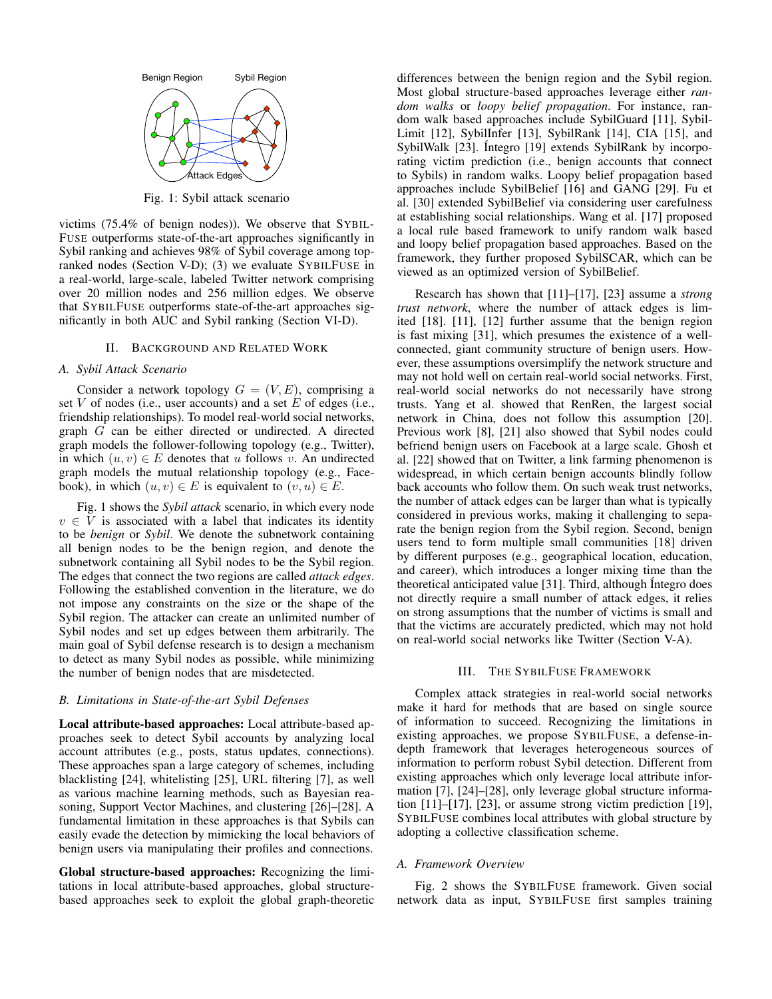

Fig. 1: Sybil attack scenario

victims (75.4% of benign nodes)). We observe that SYBIL-FUSE outperforms state-of-the-art approaches significantly in Sybil ranking and achieves 98% of Sybil coverage among topranked nodes (Section V-D); (3) we evaluate SYBILFUSE in a real-world, large-scale, labeled Twitter network comprising over 20 million nodes and 256 million edges. We observe that SYBILFUSE outperforms state-of-the-art approaches significantly in both AUC and Sybil ranking (Section VI-D).

## II. BACKGROUND AND RELATED WORK

#### *A. Sybil Attack Scenario*

Consider a network topology  $G = (V, E)$ , comprising a set V of nodes (i.e., user accounts) and a set E of edges (i.e., friendship relationships). To model real-world social networks, graph G can be either directed or undirected. A directed graph models the follower-following topology (e.g., Twitter), in which  $(u, v) \in E$  denotes that u follows v. An undirected graph models the mutual relationship topology (e.g., Facebook), in which  $(u, v) \in E$  is equivalent to  $(v, u) \in E$ .

Fig. 1 shows the *Sybil attack* scenario, in which every node  $v \in V$  is associated with a label that indicates its identity to be *benign* or *Sybil*. We denote the subnetwork containing all benign nodes to be the benign region, and denote the subnetwork containing all Sybil nodes to be the Sybil region. The edges that connect the two regions are called *attack edges*. Following the established convention in the literature, we do not impose any constraints on the size or the shape of the Sybil region. The attacker can create an unlimited number of Sybil nodes and set up edges between them arbitrarily. The main goal of Sybil defense research is to design a mechanism to detect as many Sybil nodes as possible, while minimizing the number of benign nodes that are misdetected.

# *B. Limitations in State-of-the-art Sybil Defenses*

Local attribute-based approaches: Local attribute-based approaches seek to detect Sybil accounts by analyzing local account attributes (e.g., posts, status updates, connections). These approaches span a large category of schemes, including blacklisting [24], whitelisting [25], URL filtering [7], as well as various machine learning methods, such as Bayesian reasoning, Support Vector Machines, and clustering [26]–[28]. A fundamental limitation in these approaches is that Sybils can easily evade the detection by mimicking the local behaviors of benign users via manipulating their profiles and connections.

Global structure-based approaches: Recognizing the limitations in local attribute-based approaches, global structurebased approaches seek to exploit the global graph-theoretic differences between the benign region and the Sybil region. Most global structure-based approaches leverage either *random walks* or *loopy belief propagation*. For instance, random walk based approaches include SybilGuard [11], Sybil-Limit [12], SybilInfer [13], SybilRank [14], CIA [15], and SybilWalk [23]. Íntegro [19] extends SybilRank by incorporating victim prediction (i.e., benign accounts that connect to Sybils) in random walks. Loopy belief propagation based approaches include SybilBelief [16] and GANG [29]. Fu et al. [30] extended SybilBelief via considering user carefulness at establishing social relationships. Wang et al. [17] proposed a local rule based framework to unify random walk based and loopy belief propagation based approaches. Based on the framework, they further proposed SybilSCAR, which can be viewed as an optimized version of SybilBelief.

Research has shown that [11]–[17], [23] assume a *strong trust network*, where the number of attack edges is limited [18]. [11], [12] further assume that the benign region is fast mixing [31], which presumes the existence of a wellconnected, giant community structure of benign users. However, these assumptions oversimplify the network structure and may not hold well on certain real-world social networks. First, real-world social networks do not necessarily have strong trusts. Yang et al. showed that RenRen, the largest social network in China, does not follow this assumption [20]. Previous work [8], [21] also showed that Sybil nodes could befriend benign users on Facebook at a large scale. Ghosh et al. [22] showed that on Twitter, a link farming phenomenon is widespread, in which certain benign accounts blindly follow back accounts who follow them. On such weak trust networks, the number of attack edges can be larger than what is typically considered in previous works, making it challenging to separate the benign region from the Sybil region. Second, benign users tend to form multiple small communities [18] driven by different purposes (e.g., geographical location, education, and career), which introduces a longer mixing time than the theoretical anticipated value [31]. Third, although Integro does not directly require a small number of attack edges, it relies on strong assumptions that the number of victims is small and that the victims are accurately predicted, which may not hold on real-world social networks like Twitter (Section V-A).

## III. THE SYBILFUSE FRAMEWORK

Complex attack strategies in real-world social networks make it hard for methods that are based on single source of information to succeed. Recognizing the limitations in existing approaches, we propose SYBILFUSE, a defense-indepth framework that leverages heterogeneous sources of information to perform robust Sybil detection. Different from existing approaches which only leverage local attribute information [7], [24]–[28], only leverage global structure information [11]–[17], [23], or assume strong victim prediction [19], SYBILFUSE combines local attributes with global structure by adopting a collective classification scheme.

#### *A. Framework Overview*

Fig. 2 shows the SYBILFUSE framework. Given social network data as input, SYBILFUSE first samples training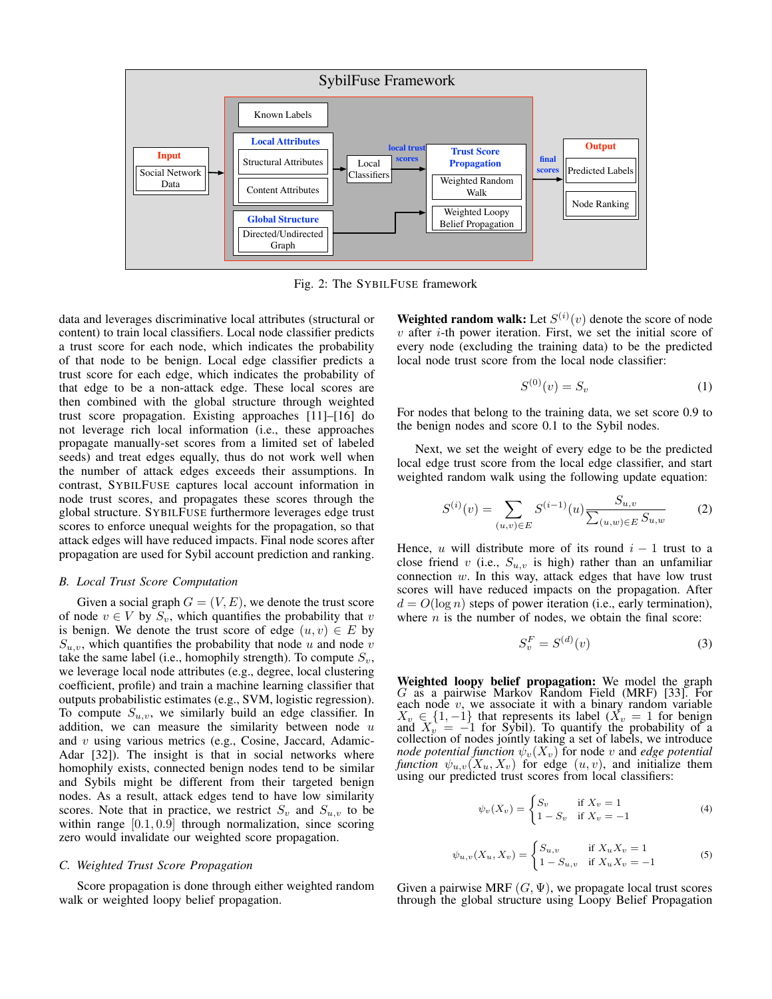

Fig. 2: The SYBILFUSE framework

data and leverages discriminative local attributes (structural or content) to train local classifiers. Local node classifier predicts a trust score for each node, which indicates the probability of that node to be benign. Local edge classifier predicts a trust score for each edge, which indicates the probability of that edge to be a non-attack edge. These local scores are then combined with the global structure through weighted trust score propagation. Existing approaches [11]–[16] do not leverage rich local information (i.e., these approaches propagate manually-set scores from a limited set of labeled seeds) and treat edges equally, thus do not work well when the number of attack edges exceeds their assumptions. In contrast, SYBILFUSE captures local account information in node trust scores, and propagates these scores through the global structure. SYBILFUSE furthermore leverages edge trust scores to enforce unequal weights for the propagation, so that attack edges will have reduced impacts. Final node scores after propagation are used for Sybil account prediction and ranking.

## *B. Local Trust Score Computation*

Given a social graph  $G = (V, E)$ , we denote the trust score of node  $v \in V$  by  $S_v$ , which quantifies the probability that v is benign. We denote the trust score of edge  $(u, v) \in E$  by  $S_{u,v}$ , which quantifies the probability that node u and node v take the same label (i.e., homophily strength). To compute  $S_v$ , we leverage local node attributes (e.g., degree, local clustering coefficient, profile) and train a machine learning classifier that outputs probabilistic estimates (e.g., SVM, logistic regression). To compute  $S_{u,v}$ , we similarly build an edge classifier. In addition, we can measure the similarity between node  $u$ and  $v$  using various metrics (e.g., Cosine, Jaccard, Adamic-Adar [32]). The insight is that in social networks where homophily exists, connected benign nodes tend to be similar and Sybils might be different from their targeted benign nodes. As a result, attack edges tend to have low similarity scores. Note that in practice, we restrict  $S_v$  and  $S_{u,v}$  to be within range [0.1, 0.9] through normalization, since scoring zero would invalidate our weighted score propagation.

## *C. Weighted Trust Score Propagation*

Score propagation is done through either weighted random walk or weighted loopy belief propagation.

**Weighted random walk:** Let  $S^{(i)}(v)$  denote the score of node  $v$  after  $i$ -th power iteration. First, we set the initial score of every node (excluding the training data) to be the predicted local node trust score from the local node classifier:

$$
S^{(0)}(v) = S_v \tag{1}
$$

For nodes that belong to the training data, we set score 0.9 to the benign nodes and score 0.1 to the Sybil nodes.

Next, we set the weight of every edge to be the predicted local edge trust score from the local edge classifier, and start weighted random walk using the following update equation:

$$
S^{(i)}(v) = \sum_{(u,v)\in E} S^{(i-1)}(u) \frac{S_{u,v}}{\sum_{(u,w)\in E} S_{u,w}}
$$
 (2)

Hence, u will distribute more of its round  $i - 1$  trust to a close friend v (i.e.,  $S_{u,v}$  is high) rather than an unfamiliar connection  $w$ . In this way, attack edges that have low trust scores will have reduced impacts on the propagation. After  $d = O(\log n)$  steps of power iteration (i.e., early termination), where  $n$  is the number of nodes, we obtain the final score:

$$
S_v^F = S^{(d)}(v) \tag{3}
$$

Weighted loopy belief propagation: We model the graph G as a pairwise Markov Random Field (MRF) [33]. For each node  $v$ , we associate it with a binary random variable  $X_v \in \{1, -1\}$  that represents its label  $(X_v = 1)$  for benign and  $X_v = -1$  for Sybil). To quantify the probability of a collection of nodes jointly taking a set of labels, we introduce *node potential function*  $\psi_v(X_v)$  for node v and *edge potential function*  $\psi_{u,v}(X_u, X_v)$  for edge  $(u, v)$ , and initialize them using our predicted trust scores from local classifiers:

$$
\psi_v(X_v) = \begin{cases} S_v & \text{if } X_v = 1 \\ 1 - S_v & \text{if } X_v = -1 \end{cases}
$$
\n(4)

$$
\psi_{u,v}(X_u, X_v) = \begin{cases} S_{u,v} & \text{if } X_u X_v = 1\\ 1 - S_{u,v} & \text{if } X_u X_v = -1 \end{cases}
$$
 (5)

Given a pairwise MRF  $(G, \Psi)$ , we propagate local trust scores through the global structure using Loopy Belief Propagation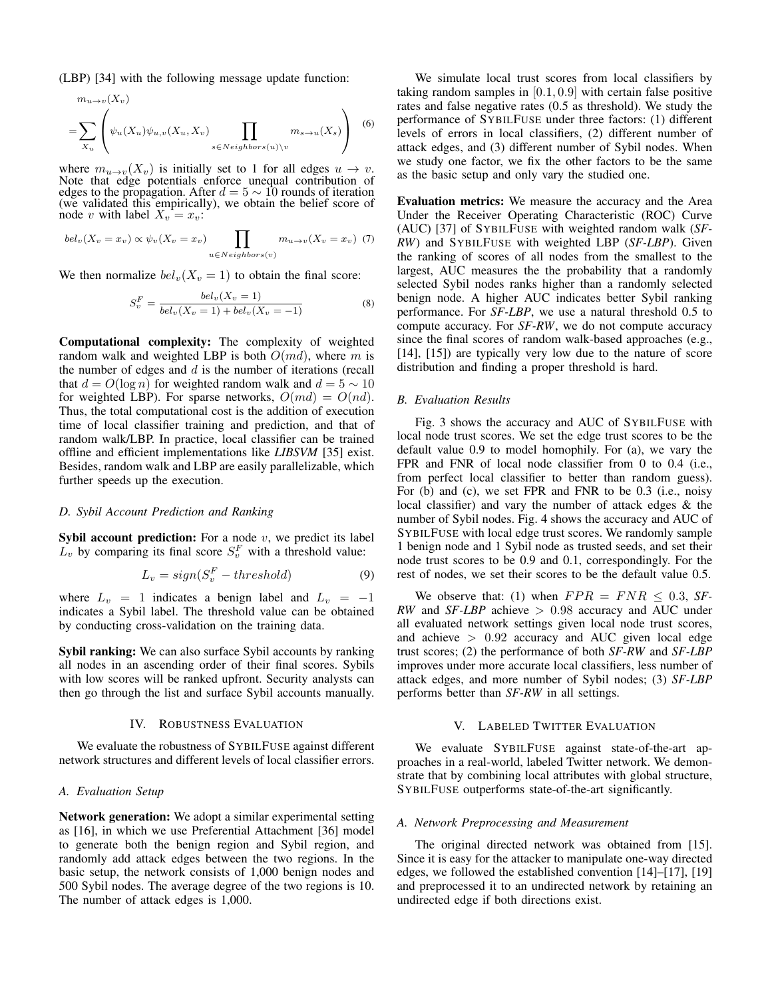(LBP) [34] with the following message update function:

$$
m_{u \to v}(X_v)
$$
  
= 
$$
\sum_{X_u} \left( \psi_u(X_u) \psi_{u,v}(X_u, X_v) \prod_{s \in Neighbors(u) \setminus v} m_{s \to u}(X_s) \right)
$$
 (6)

where  $m_{u\to v}(X_v)$  is initially set to 1 for all edges  $u \to v$ . Note that edge potentials enforce unequal contribution of edges to the propagation. After  $d = 5 \sim 10$  rounds of iteration (we validated this empirically), we obtain the belief score of node v with label  $X_v = x_v$ :

$$
bel_v(X_v = x_v) \propto \psi_v(X_v = x_v) \prod_{u \in Neighbors(v)} m_{u \to v}(X_v = x_v) \tag{7}
$$

We then normalize  $bel_v(X_v = 1)$  to obtain the final score:

$$
S_v^F = \frac{bel_v(X_v = 1)}{bel_v(X_v = 1) + bel_v(X_v = -1)}
$$
(8)

Computational complexity: The complexity of weighted random walk and weighted LBP is both  $O(md)$ , where m is the number of edges and  $d$  is the number of iterations (recall that  $d = O(\log n)$  for weighted random walk and  $d = 5 \sim 10$ for weighted LBP). For sparse networks,  $O(md) = O(nd)$ . Thus, the total computational cost is the addition of execution time of local classifier training and prediction, and that of random walk/LBP. In practice, local classifier can be trained offline and efficient implementations like *LIBSVM* [35] exist. Besides, random walk and LBP are easily parallelizable, which further speeds up the execution.

## *D. Sybil Account Prediction and Ranking*

**Sybil account prediction:** For a node  $v$ , we predict its label  $L_v$  by comparing its final score  $S_v^F$  with a threshold value:

$$
L_v = sign(S_v^F - threshold)
$$
\n(9)

where  $L_v = 1$  indicates a benign label and  $L_v = -1$ indicates a Sybil label. The threshold value can be obtained by conducting cross-validation on the training data.

Sybil ranking: We can also surface Sybil accounts by ranking all nodes in an ascending order of their final scores. Sybils with low scores will be ranked upfront. Security analysts can then go through the list and surface Sybil accounts manually.

#### IV. ROBUSTNESS EVALUATION

We evaluate the robustness of SYBILFUSE against different network structures and different levels of local classifier errors.

## *A. Evaluation Setup*

Network generation: We adopt a similar experimental setting as [16], in which we use Preferential Attachment [36] model to generate both the benign region and Sybil region, and randomly add attack edges between the two regions. In the basic setup, the network consists of 1,000 benign nodes and 500 Sybil nodes. The average degree of the two regions is 10. The number of attack edges is 1,000.

We simulate local trust scores from local classifiers by taking random samples in  $[0.1, 0.9]$  with certain false positive rates and false negative rates (0.5 as threshold). We study the performance of SYBILFUSE under three factors: (1) different levels of errors in local classifiers, (2) different number of attack edges, and (3) different number of Sybil nodes. When we study one factor, we fix the other factors to be the same as the basic setup and only vary the studied one.

Evaluation metrics: We measure the accuracy and the Area Under the Receiver Operating Characteristic (ROC) Curve (AUC) [37] of SYBILFUSE with weighted random walk (*SF-RW*) and SYBILFUSE with weighted LBP (*SF-LBP*). Given the ranking of scores of all nodes from the smallest to the largest, AUC measures the the probability that a randomly selected Sybil nodes ranks higher than a randomly selected benign node. A higher AUC indicates better Sybil ranking performance. For *SF-LBP*, we use a natural threshold 0.5 to compute accuracy. For *SF-RW*, we do not compute accuracy since the final scores of random walk-based approaches (e.g., [14], [15]) are typically very low due to the nature of score distribution and finding a proper threshold is hard.

#### *B. Evaluation Results*

Fig. 3 shows the accuracy and AUC of SYBILFUSE with local node trust scores. We set the edge trust scores to be the default value 0.9 to model homophily. For (a), we vary the FPR and FNR of local node classifier from 0 to 0.4 (i.e., from perfect local classifier to better than random guess). For (b) and (c), we set FPR and FNR to be 0.3 (i.e., noisy local classifier) and vary the number of attack edges & the number of Sybil nodes. Fig. 4 shows the accuracy and AUC of SYBILFUSE with local edge trust scores. We randomly sample 1 benign node and 1 Sybil node as trusted seeds, and set their node trust scores to be 0.9 and 0.1, correspondingly. For the rest of nodes, we set their scores to be the default value 0.5.

We observe that: (1) when  $FPR = FNR \leq 0.3$ , SF-*RW* and *SF-LBP* achieve > 0.98 accuracy and AUC under all evaluated network settings given local node trust scores, and achieve  $> 0.92$  accuracy and AUC given local edge trust scores; (2) the performance of both *SF-RW* and *SF-LBP* improves under more accurate local classifiers, less number of attack edges, and more number of Sybil nodes; (3) *SF-LBP* performs better than *SF-RW* in all settings.

## V. LABELED TWITTER EVALUATION

We evaluate SYBILFUSE against state-of-the-art approaches in a real-world, labeled Twitter network. We demonstrate that by combining local attributes with global structure, SYBILFUSE outperforms state-of-the-art significantly.

#### *A. Network Preprocessing and Measurement*

The original directed network was obtained from [15]. Since it is easy for the attacker to manipulate one-way directed edges, we followed the established convention [14]–[17], [19] and preprocessed it to an undirected network by retaining an undirected edge if both directions exist.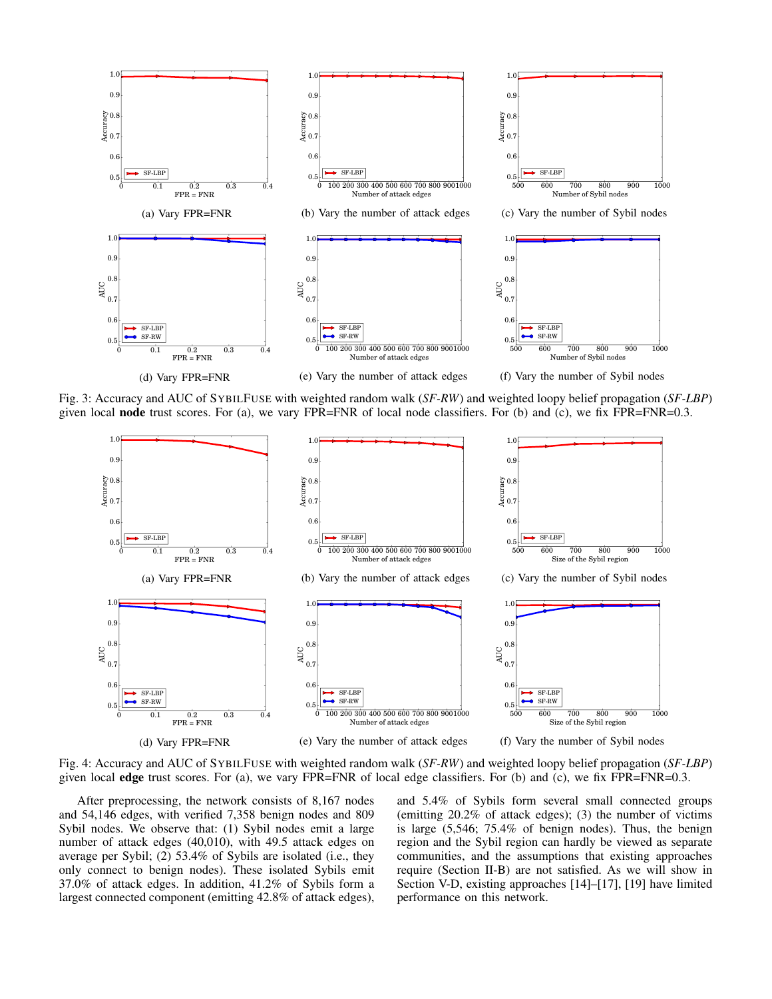

Fig. 3: Accuracy and AUC of SYBILFUSE with weighted random walk (*SF-RW*) and weighted loopy belief propagation (*SF-LBP*) given local node trust scores. For (a), we vary FPR=FNR of local node classifiers. For (b) and (c), we fix FPR=FNR=0.3.



Fig. 4: Accuracy and AUC of SYBILFUSE with weighted random walk (*SF-RW*) and weighted loopy belief propagation (*SF-LBP*) given local edge trust scores. For (a), we vary FPR=FNR of local edge classifiers. For (b) and (c), we fix FPR=FNR=0.3.

After preprocessing, the network consists of 8,167 nodes and 54,146 edges, with verified 7,358 benign nodes and 809 Sybil nodes. We observe that: (1) Sybil nodes emit a large number of attack edges (40,010), with 49.5 attack edges on average per Sybil; (2) 53.4% of Sybils are isolated (i.e., they only connect to benign nodes). These isolated Sybils emit 37.0% of attack edges. In addition, 41.2% of Sybils form a largest connected component (emitting 42.8% of attack edges),

and 5.4% of Sybils form several small connected groups (emitting 20.2% of attack edges); (3) the number of victims is large (5,546; 75.4% of benign nodes). Thus, the benign region and the Sybil region can hardly be viewed as separate communities, and the assumptions that existing approaches require (Section II-B) are not satisfied. As we will show in Section V-D, existing approaches [14]–[17], [19] have limited performance on this network.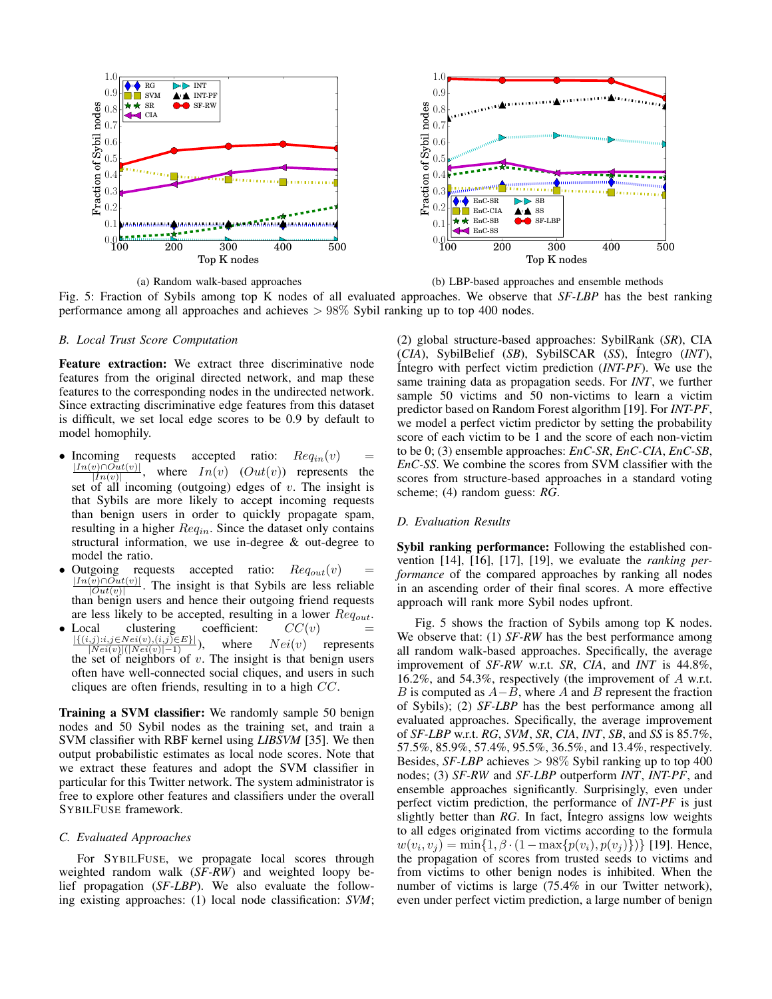

(a) Random walk-based approaches

(b) LBP-based approaches and ensemble methods

Fig. 5: Fraction of Sybils among top K nodes of all evaluated approaches. We observe that *SF-LBP* has the best ranking performance among all approaches and achieves > 98% Sybil ranking up to top 400 nodes.

## *B. Local Trust Score Computation*

Feature extraction: We extract three discriminative node features from the original directed network, and map these features to the corresponding nodes in the undirected network. Since extracting discriminative edge features from this dataset is difficult, we set local edge scores to be 0.9 by default to model homophily.

- Incoming requests accepted ratio:  $Req_{in}(v)$  =  $\frac{|In(v) \cap Out(v)|}{|In(v) \cap Out(v)|}$  where  $In(v)$  (Out(v)) represents the  $\frac{[V] \cup Out(v)]}{[In(v)]}$ , where  $In(v)$   $(Out(v))$  represents the set of all incoming (outgoing) edges of  $v$ . The insight is that Sybils are more likely to accept incoming requests than benign users in order to quickly propagate spam, resulting in a higher  $Req<sub>in</sub>$ . Since the dataset only contains structural information, we use in-degree & out-degree to model the ratio.
- Outgoing requests accepted ratio:  $Req_{out}(v)$  =  $|In(v) \cap Out(v)|$  $\frac{|v|||Out(v)|}{|Out(v)|}$ . The insight is that Sybils are less reliable than benign users and hence their outgoing friend requests are less likely to be accepted, resulting in a lower  $Reg_{out}$ .
- Local clustering coefficient:  $CC(v)$  $\frac{|\{(i,j):i,j\in Nei(v),(i,j)\in E\}|}{|Nei(v)|(|Nei(v)|-1)}$ , where  $Nei(v)$  represents the set of neighbors of  $v$ . The insight is that benign users often have well-connected social cliques, and users in such cliques are often friends, resulting in to a high CC.

Training a SVM classifier: We randomly sample 50 benign nodes and 50 Sybil nodes as the training set, and train a SVM classifier with RBF kernel using *LIBSVM* [35]. We then output probabilistic estimates as local node scores. Note that we extract these features and adopt the SVM classifier in particular for this Twitter network. The system administrator is free to explore other features and classifiers under the overall SYBILFUSE framework.

#### *C. Evaluated Approaches*

For SYBILFUSE, we propagate local scores through weighted random walk (*SF-RW*) and weighted loopy belief propagation (*SF-LBP*). We also evaluate the following existing approaches: (1) local node classification: *SVM*; (2) global structure-based approaches: SybilRank (*SR*), CIA (*CIA*), SybilBelief (*SB*), SybilSCAR (*SS*), ´Integro (*INT*), ´Integro with perfect victim prediction (*INT-PF*). We use the same training data as propagation seeds. For *INT*, we further sample 50 victims and 50 non-victims to learn a victim predictor based on Random Forest algorithm [19]. For *INT-PF*, we model a perfect victim predictor by setting the probability score of each victim to be 1 and the score of each non-victim to be 0; (3) ensemble approaches: *EnC-SR*, *EnC-CIA*, *EnC-SB*, *EnC-SS*. We combine the scores from SVM classifier with the scores from structure-based approaches in a standard voting scheme; (4) random guess: *RG*.

#### *D. Evaluation Results*

Sybil ranking performance: Following the established convention [14], [16], [17], [19], we evaluate the *ranking performance* of the compared approaches by ranking all nodes in an ascending order of their final scores. A more effective approach will rank more Sybil nodes upfront.

Fig. 5 shows the fraction of Sybils among top K nodes. We observe that: (1) *SF-RW* has the best performance among all random walk-based approaches. Specifically, the average improvement of *SF-RW* w.r.t. *SR*, *CIA*, and *INT* is 44.8%, 16.2%, and 54.3%, respectively (the improvement of A w.r.t. B is computed as  $A - B$ , where A and B represent the fraction of Sybils); (2) *SF-LBP* has the best performance among all evaluated approaches. Specifically, the average improvement of *SF-LBP* w.r.t. *RG*, *SVM*, *SR*, *CIA*, *INT*, *SB*, and *SS* is 85.7%, 57.5%, 85.9%, 57.4%, 95.5%, 36.5%, and 13.4%, respectively. Besides, *SF-LBP* achieves > 98% Sybil ranking up to top 400 nodes; (3) *SF-RW* and *SF-LBP* outperform *INT*, *INT-PF*, and ensemble approaches significantly. Surprisingly, even under perfect victim prediction, the performance of *INT-PF* is just slightly better than *RG*. In fact, Integro assigns low weights to all edges originated from victims according to the formula  $w(v_i, v_j) = \min\{1, \beta \cdot (1 - \max\{p(v_i), p(v_j)\})\}$  [19]. Hence, the propagation of scores from trusted seeds to victims and from victims to other benign nodes is inhibited. When the number of victims is large (75.4% in our Twitter network), even under perfect victim prediction, a large number of benign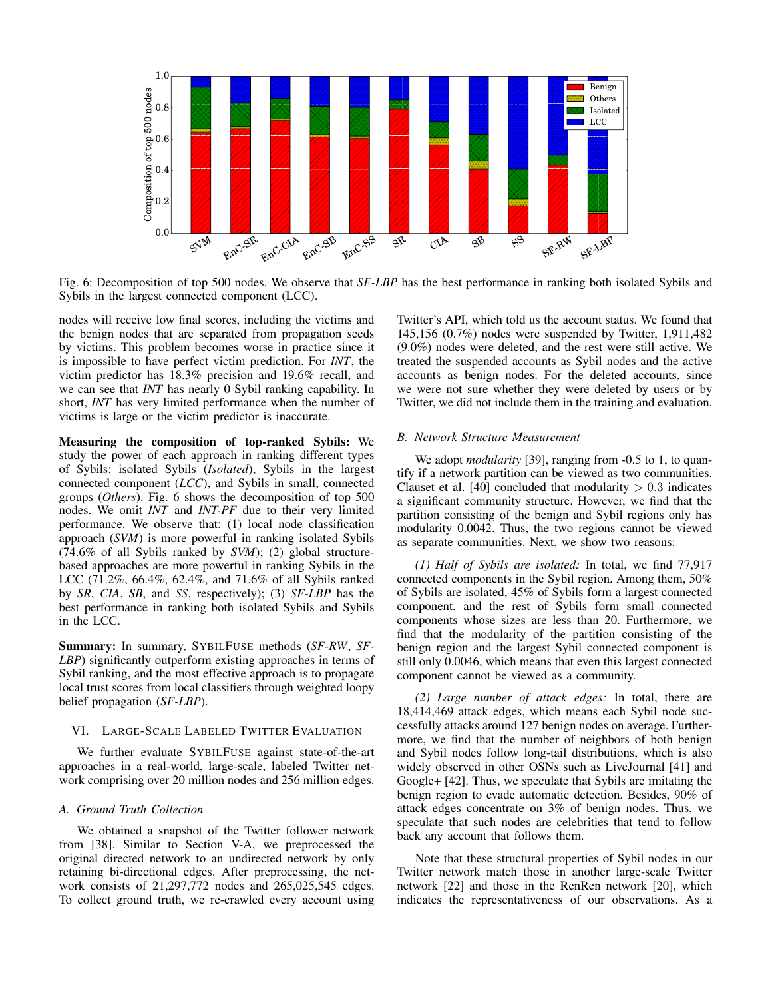

Fig. 6: Decomposition of top 500 nodes. We observe that *SF-LBP* has the best performance in ranking both isolated Sybils and Sybils in the largest connected component (LCC).

nodes will receive low final scores, including the victims and the benign nodes that are separated from propagation seeds by victims. This problem becomes worse in practice since it is impossible to have perfect victim prediction. For *INT*, the victim predictor has 18.3% precision and 19.6% recall, and we can see that *INT* has nearly 0 Sybil ranking capability. In short, *INT* has very limited performance when the number of victims is large or the victim predictor is inaccurate.

Measuring the composition of top-ranked Sybils: We study the power of each approach in ranking different types of Sybils: isolated Sybils (*Isolated*), Sybils in the largest connected component (*LCC*), and Sybils in small, connected groups (*Others*). Fig. 6 shows the decomposition of top 500 nodes. We omit *INT* and *INT-PF* due to their very limited performance. We observe that: (1) local node classification approach (*SVM*) is more powerful in ranking isolated Sybils (74.6% of all Sybils ranked by *SVM*); (2) global structurebased approaches are more powerful in ranking Sybils in the LCC (71.2%, 66.4%, 62.4%, and 71.6% of all Sybils ranked by *SR*, *CIA*, *SB*, and *SS*, respectively); (3) *SF-LBP* has the best performance in ranking both isolated Sybils and Sybils in the LCC.

Summary: In summary, SYBILFUSE methods (*SF-RW*, *SF-LBP*) significantly outperform existing approaches in terms of Sybil ranking, and the most effective approach is to propagate local trust scores from local classifiers through weighted loopy belief propagation (*SF-LBP*).

# VI. LARGE-SCALE LABELED TWITTER EVALUATION

We further evaluate SYBILFUSE against state-of-the-art approaches in a real-world, large-scale, labeled Twitter network comprising over 20 million nodes and 256 million edges.

# *A. Ground Truth Collection*

We obtained a snapshot of the Twitter follower network from [38]. Similar to Section V-A, we preprocessed the original directed network to an undirected network by only retaining bi-directional edges. After preprocessing, the network consists of 21,297,772 nodes and 265,025,545 edges. To collect ground truth, we re-crawled every account using Twitter's API, which told us the account status. We found that 145,156 (0.7%) nodes were suspended by Twitter, 1,911,482 (9.0%) nodes were deleted, and the rest were still active. We treated the suspended accounts as Sybil nodes and the active accounts as benign nodes. For the deleted accounts, since we were not sure whether they were deleted by users or by Twitter, we did not include them in the training and evaluation.

## *B. Network Structure Measurement*

We adopt *modularity* [39], ranging from -0.5 to 1, to quantify if a network partition can be viewed as two communities. Clauset et al. [40] concluded that modularity  $> 0.3$  indicates a significant community structure. However, we find that the partition consisting of the benign and Sybil regions only has modularity 0.0042. Thus, the two regions cannot be viewed as separate communities. Next, we show two reasons:

*(1) Half of Sybils are isolated:* In total, we find 77,917 connected components in the Sybil region. Among them, 50% of Sybils are isolated, 45% of Sybils form a largest connected component, and the rest of Sybils form small connected components whose sizes are less than 20. Furthermore, we find that the modularity of the partition consisting of the benign region and the largest Sybil connected component is still only 0.0046, which means that even this largest connected component cannot be viewed as a community.

*(2) Large number of attack edges:* In total, there are 18,414,469 attack edges, which means each Sybil node successfully attacks around 127 benign nodes on average. Furthermore, we find that the number of neighbors of both benign and Sybil nodes follow long-tail distributions, which is also widely observed in other OSNs such as LiveJournal [41] and Google+ [42]. Thus, we speculate that Sybils are imitating the benign region to evade automatic detection. Besides, 90% of attack edges concentrate on 3% of benign nodes. Thus, we speculate that such nodes are celebrities that tend to follow back any account that follows them.

Note that these structural properties of Sybil nodes in our Twitter network match those in another large-scale Twitter network [22] and those in the RenRen network [20], which indicates the representativeness of our observations. As a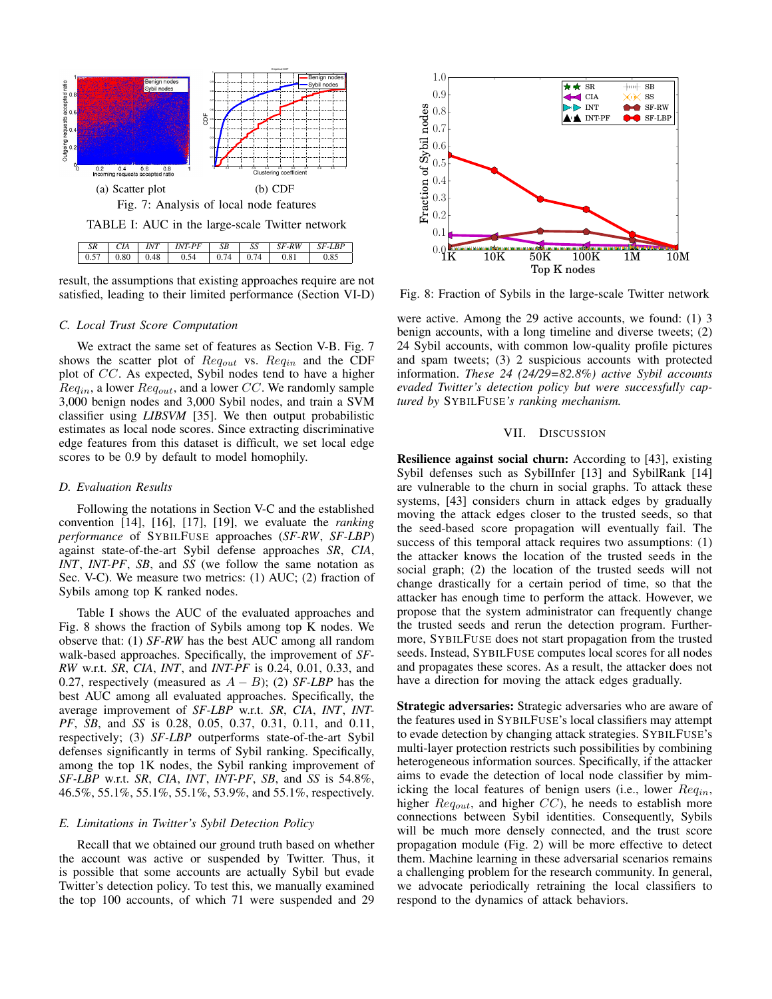

result, the assumptions that existing approaches require are not satisfied, leading to their limited performance (Section VI-D)

#### *C. Local Trust Score Computation*

We extract the same set of features as Section V-B. Fig. 7 shows the scatter plot of  $Req_{out}$  vs.  $Req_{in}$  and the CDF plot of CC. As expected, Sybil nodes tend to have a higher  $Req<sub>in</sub>$ , a lower  $Req<sub>out</sub>$ , and a lower  $CC$ . We randomly sample 3,000 benign nodes and 3,000 Sybil nodes, and train a SVM classifier using *LIBSVM* [35]. We then output probabilistic estimates as local node scores. Since extracting discriminative edge features from this dataset is difficult, we set local edge scores to be 0.9 by default to model homophily.

## *D. Evaluation Results*

Following the notations in Section V-C and the established convention [14], [16], [17], [19], we evaluate the *ranking performance* of SYBILFUSE approaches (*SF-RW*, *SF-LBP*) against state-of-the-art Sybil defense approaches *SR*, *CIA*, *INT*, *INT-PF*, *SB*, and *SS* (we follow the same notation as Sec. V-C). We measure two metrics: (1) AUC; (2) fraction of Sybils among top K ranked nodes.

Table I shows the AUC of the evaluated approaches and Fig. 8 shows the fraction of Sybils among top K nodes. We observe that: (1) *SF-RW* has the best AUC among all random walk-based approaches. Specifically, the improvement of *SF-RW* w.r.t. *SR*, *CIA*, *INT*, and *INT-PF* is 0.24, 0.01, 0.33, and 0.27, respectively (measured as A − B); (2) *SF-LBP* has the best AUC among all evaluated approaches. Specifically, the average improvement of *SF-LBP* w.r.t. *SR*, *CIA*, *INT*, *INT-PF*, *SB*, and *SS* is 0.28, 0.05, 0.37, 0.31, 0.11, and 0.11, respectively; (3) *SF-LBP* outperforms state-of-the-art Sybil defenses significantly in terms of Sybil ranking. Specifically, among the top 1K nodes, the Sybil ranking improvement of *SF-LBP* w.r.t. *SR*, *CIA*, *INT*, *INT-PF*, *SB*, and *SS* is 54.8%, 46.5%, 55.1%, 55.1%, 55.1%, 53.9%, and 55.1%, respectively.

## *E. Limitations in Twitter's Sybil Detection Policy*

Recall that we obtained our ground truth based on whether the account was active or suspended by Twitter. Thus, it is possible that some accounts are actually Sybil but evade Twitter's detection policy. To test this, we manually examined the top 100 accounts, of which 71 were suspended and 29



Fig. 8: Fraction of Sybils in the large-scale Twitter network

were active. Among the 29 active accounts, we found: (1) 3 benign accounts, with a long timeline and diverse tweets; (2) 24 Sybil accounts, with common low-quality profile pictures and spam tweets; (3) 2 suspicious accounts with protected information. *These 24 (24/29=82.8%) active Sybil accounts evaded Twitter's detection policy but were successfully captured by* SYBILFUSE*'s ranking mechanism.*

#### VII. DISCUSSION

Resilience against social churn: According to [43], existing Sybil defenses such as SybilInfer [13] and SybilRank [14] are vulnerable to the churn in social graphs. To attack these systems, [43] considers churn in attack edges by gradually moving the attack edges closer to the trusted seeds, so that the seed-based score propagation will eventually fail. The success of this temporal attack requires two assumptions: (1) the attacker knows the location of the trusted seeds in the social graph; (2) the location of the trusted seeds will not change drastically for a certain period of time, so that the attacker has enough time to perform the attack. However, we propose that the system administrator can frequently change the trusted seeds and rerun the detection program. Furthermore, SYBILFUSE does not start propagation from the trusted seeds. Instead, SYBILFUSE computes local scores for all nodes and propagates these scores. As a result, the attacker does not have a direction for moving the attack edges gradually.

Strategic adversaries: Strategic adversaries who are aware of the features used in SYBILFUSE's local classifiers may attempt to evade detection by changing attack strategies. SYBILFUSE's multi-layer protection restricts such possibilities by combining heterogeneous information sources. Specifically, if the attacker aims to evade the detection of local node classifier by mimicking the local features of benign users (i.e., lower  $Req_{in}$ , higher  $Req_{out}$ , and higher  $CC$ ), he needs to establish more connections between Sybil identities. Consequently, Sybils will be much more densely connected, and the trust score propagation module (Fig. 2) will be more effective to detect them. Machine learning in these adversarial scenarios remains a challenging problem for the research community. In general, we advocate periodically retraining the local classifiers to respond to the dynamics of attack behaviors.